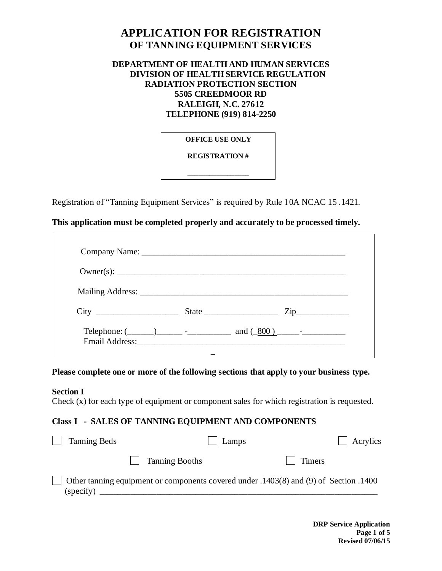# **APPLICATION FOR REGISTRATION OF TANNING EQUIPMENT SERVICES**

# **DEPARTMENT OF HEALTH AND HUMAN SERVICES DIVISION OF HEALTH SERVICE REGULATION RADIATION PROTECTION SECTION 5505 CREEDMOOR RD RALEIGH, N.C. 27612 TELEPHONE (919) 814-2250**

**OFFICE USE ONLY** 

**REGISTRATION #** 

**\_\_\_\_\_\_\_\_\_\_\_\_\_\_\_\_\_**

Registration of "Tanning Equipment Services" is required by Rule 10A NCAC 15 .1421.

## **This application must be completed properly and accurately to be processed timely.**

|  | Telephone: $(\_\_)$ $\_\_$ $\_\_$ $\_\_$ and $(\_800)$ $\_\_$ |
|--|---------------------------------------------------------------|

**Please complete one or more of the following sections that apply to your business type.**

**Section I**

Check (x) for each type of equipment or component sales for which registration is requested.

#### **Class I - SALES OF TANNING EQUIPMENT AND COMPONENTS**

| <b>Tanning Beds</b> | Lamps                                                                                 |        | Acrylics |
|---------------------|---------------------------------------------------------------------------------------|--------|----------|
|                     | Tanning Booths                                                                        | Timers |          |
| (specify)           | Other tanning equipment or components covered under .1403(8) and (9) of Section .1400 |        |          |